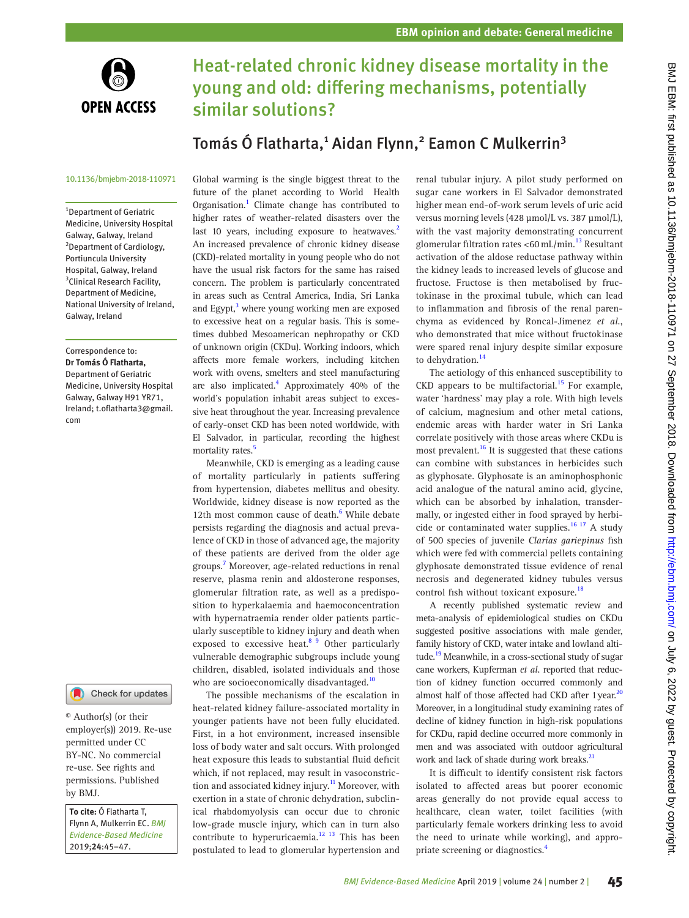

# Heat-related chronic kidney disease mortality in the young and old: differing mechanisms, potentially similar solutions?

## Tomás Ó Flatharta,<sup>1</sup> Aidan Flynn,<sup>2</sup> Eamon C Mulkerrin<sup>3</sup>

#### 10.1136/bmjebm-2018-110971

1 Department of Geriatric Medicine, University Hospital Galway, Galway, Ireland <sup>2</sup> Department of Cardiology, Portiuncula University Hospital, Galway, Ireland <sup>3</sup>Clinical Research Facility, Department of Medicine, National University of Ireland, Galway, Ireland

Correspondence to: *Dr Tomás Ó Flatharta,* Department of Geriatric Medicine, University Hospital Galway, Galway H91 YR71, Ireland; t.oflatharta3@gmail. com

### Check for updates

© Author(s) (or their employer(s)) 2019. Re-use permitted under CC BY-NC. No commercial re-use. See rights and permissions. Published by BMJ.

*To cite:* Ó Flatharta T, Flynn A, Mulkerrin EC. *BMJ Evidence-Based Medicine* 2019;*24*:45–47.

Global warming is the single biggest threat to the future of the planet according to World Health Organisation.<sup>1</sup> Climate change has contributed to higher rates of weather-related disasters over the last 10 years, including exposure to heatwaves.<sup>[2](#page-1-1)</sup> An increased prevalence of chronic kidney disease (CKD)-related mortality in young people who do not have the usual risk factors for the same has raised concern. The problem is particularly concentrated in areas such as Central America, India, Sri Lanka and Egypt,<sup>[3](#page-1-2)</sup> where young working men are exposed to excessive heat on a regular basis. This is sometimes dubbed Mesoamerican nephropathy or CKD of unknown origin (CKDu). Working indoors, which affects more female workers, including kitchen work with ovens, smelters and steel manufacturing are also implicated.<sup>4</sup> Approximately 40% of the world's population inhabit areas subject to excessive heat throughout the year. Increasing prevalence of early-onset CKD has been noted worldwide, with El Salvador, in particular, recording the highest mortality rates.<sup>[5](#page-1-4)</sup>

Meanwhile, CKD is emerging as a leading cause of mortality particularly in patients suffering from hypertension, diabetes mellitus and obesity. Worldwide, kidney disease is now reported as the 12th most common cause of death.<sup>6</sup> While debate persists regarding the diagnosis and actual prevalence of CKD in those of advanced age, the majority of these patients are derived from the older age groups.[7](#page-1-6) Moreover, age-related reductions in renal reserve, plasma renin and aldosterone responses, glomerular filtration rate, as well as a predisposition to hyperkalaemia and haemoconcentration with hypernatraemia render older patients particularly susceptible to kidney injury and death when exposed to excessive heat.<sup>8</sup> 9 Other particularly vulnerable demographic subgroups include young children, disabled, isolated individuals and those who are socioeconomically disadvantaged.<sup>[10](#page-1-8)</sup>

The possible mechanisms of the escalation in heat-related kidney failure-associated mortality in younger patients have not been fully elucidated. First, in a hot environment, increased insensible loss of body water and salt occurs. With prolonged heat exposure this leads to substantial fluid deficit which, if not replaced, may result in vasoconstriction and associated kidney injury.<sup>11</sup> Moreover, with exertion in a state of chronic dehydration, subclinical rhabdomyolysis can occur due to chronic low-grade muscle injury, which can in turn also contribute to hyperuricaemia. $^{12}$  <sup>13</sup> This has been postulated to lead to glomerular hypertension and renal tubular injury. A pilot study performed on sugar cane workers in El Salvador demonstrated higher mean end-of-work serum levels of uric acid versus morning levels (428 μmol/L vs. 387 μmol/L), with the vast majority demonstrating concurrent glomerular filtration rates <60 mL/min.<sup>13</sup> Resultant activation of the aldose reductase pathway within the kidney leads to increased levels of glucose and fructose. Fructose is then metabolised by fructokinase in the proximal tubule, which can lead to inflammation and fibrosis of the renal parenchyma as evidenced by Roncal-Jimenez *et al.*, who demonstrated that mice without fructokinase were spared renal injury despite similar exposure to dehydration.<sup>14</sup>

The aetiology of this enhanced susceptibility to  $CKD$  appears to be multifactorial.<sup>15</sup> For example, water 'hardness' may play a role. With high levels of calcium, magnesium and other metal cations, endemic areas with harder water in Sri Lanka correlate positively with those areas where CKDu is most prevalent.<sup>[16](#page-1-14)</sup> It is suggested that these cations can combine with substances in herbicides such as glyphosate. Glyphosate is an aminophosphonic acid analogue of the natural amino acid, glycine, which can be absorbed by inhalation, transdermally, or ingested either in food sprayed by herbicide or contaminated water supplies.<sup>16 17</sup> A study of 500 species of juvenile *Clarias gariepinus* fish which were fed with commercial pellets containing glyphosate demonstrated tissue evidence of renal necrosis and degenerated kidney tubules versus control fish without toxicant exposure.<sup>[18](#page-1-15)</sup>

A recently published systematic review and meta-analysis of epidemiological studies on CKDu suggested positive associations with male gender, family history of CKD, water intake and lowland altitude.<sup>19</sup> Meanwhile, in a cross-sectional study of sugar cane workers, Kupferman *et al.* reported that reduction of kidney function occurred commonly and almost half of those affected had CKD after 1 year. $2<sup>2</sup>$ Moreover, in a longitudinal study examining rates of decline of kidney function in high-risk populations for CKDu, rapid decline occurred more commonly in men and was associated with outdoor agricultural work and lack of shade during work breaks.<sup>21</sup>

It is difficult to identify consistent risk factors isolated to affected areas but poorer economic areas generally do not provide equal access to healthcare, clean water, toilet facilities (with particularly female workers drinking less to avoid the need to urinate while working), and appropriate screening or diagnostics.[4](#page-1-3)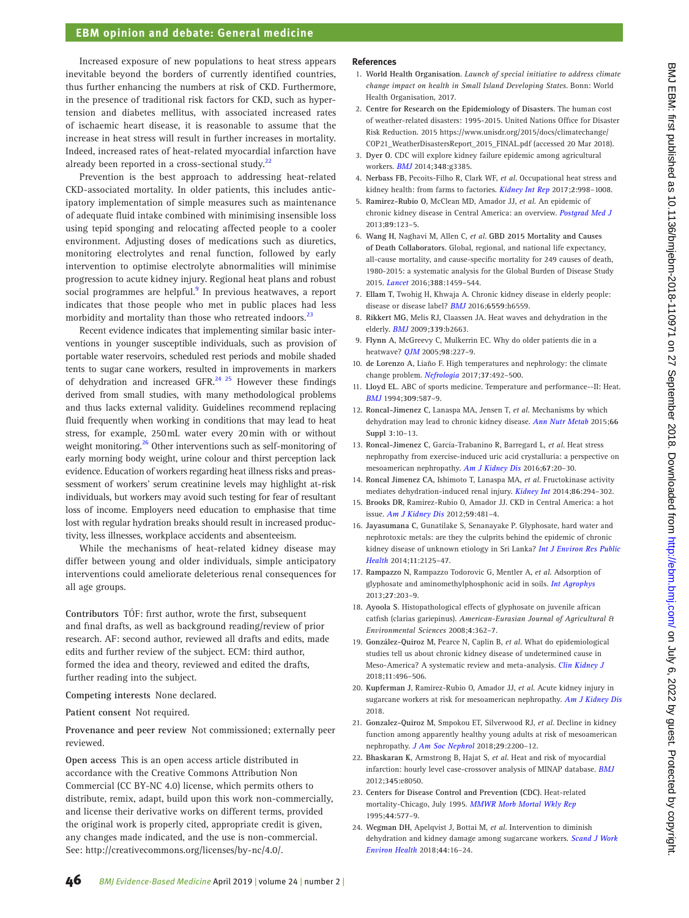### **EBM opinion and debate: General medicine**

Increased exposure of new populations to heat stress appears inevitable beyond the borders of currently identified countries, thus further enhancing the numbers at risk of CKD. Furthermore, in the presence of traditional risk factors for CKD, such as hypertension and diabetes mellitus, with associated increased rates of ischaemic heart disease, it is reasonable to assume that the increase in heat stress will result in further increases in mortality. Indeed, increased rates of heat-related myocardial infarction have already been reported in a cross-sectional study. $^{22}$ 

Prevention is the best approach to addressing heat-related CKD-associated mortality. In older patients, this includes anticipatory implementation of simple measures such as maintenance of adequate fluid intake combined with minimising insensible loss using tepid sponging and relocating affected people to a cooler environment. Adjusting doses of medications such as diuretics, monitoring electrolytes and renal function, followed by early intervention to optimise electrolyte abnormalities will minimise progression to acute kidney injury. Regional heat plans and robust social programmes are helpful.<sup>[9](#page-1-20)</sup> In previous heatwaves, a report indicates that those people who met in public places had less morbidity and mortality than those who retreated indoors.<sup>23</sup>

Recent evidence indicates that implementing similar basic interventions in younger susceptible individuals, such as provision of portable water reservoirs, scheduled rest periods and mobile shaded tents to sugar cane workers, resulted in improvements in markers of dehydration and increased GFR. $^{24}$   $^{25}$  However these findings derived from small studies, with many methodological problems and thus lacks external validity. Guidelines recommend replacing fluid frequently when working in conditions that may lead to heat stress, for example, 250mL water every 20min with or without weight monitoring.<sup>[26](#page-2-0)</sup> Other interventions such as self-monitoring of early morning body weight, urine colour and thirst perception lack evidence. Education of workers regarding heat illness risks and preassessment of workers' serum creatinine levels may highlight at-risk individuals, but workers may avoid such testing for fear of resultant loss of income. Employers need education to emphasise that time lost with regular hydration breaks should result in increased productivity, less illnesses, workplace accidents and absenteeism.

While the mechanisms of heat-related kidney disease may differ between young and older individuals, simple anticipatory interventions could ameliorate deleterious renal consequences for all age groups.

**Contributors** TÓF: first author, wrote the first, subsequent and final drafts, as well as background reading/review of prior research. AF: second author, reviewed all drafts and edits, made edits and further review of the subject. ECM: third author, formed the idea and theory, reviewed and edited the drafts, further reading into the subject.

**Competing interests** None declared.

**Patient consent** Not required.

**Provenance and peer review** Not commissioned; externally peer reviewed.

**Open access** This is an open access article distributed in accordance with the Creative Commons Attribution Non Commercial (CC BY-NC 4.0) license, which permits others to distribute, remix, adapt, build upon this work non-commercially, and license their derivative works on different terms, provided the original work is properly cited, appropriate credit is given, any changes made indicated, and the use is non-commercial. See: [http://creativecommons.org/licenses/by-nc/4.0/.](http://creativecommons.org/licenses/by-nc/4.0/)

#### **References**

- <span id="page-1-0"></span>1. **World Health Organisation**. *Launch of special initiative to address climate change impact on health in Small Island Developing States*. Bonn: World Health Organisation, 2017.
- <span id="page-1-1"></span>2. **Centre for Research on the Epidemiology of Disasters**. The human cost of weather-related disasters: 1995-2015. United Nations Office for Disaster Risk Reduction. 2015 [https://www.unisdr.org/2015/docs/climatechange/](https://www.unisdr.org/2015/docs/climatechange/COP21_WeatherDisastersReport_2015_FINAL.pdf) [COP21\\_WeatherDisastersReport\\_2015\\_FINAL.pdf](https://www.unisdr.org/2015/docs/climatechange/COP21_WeatherDisastersReport_2015_FINAL.pdf) (accessed 20 Mar 2018).
- <span id="page-1-2"></span>3. **Dyer O**. CDC will explore kidney failure epidemic among agricultural workers. *[BMJ](http://dx.doi.org/10.1136/bmj.g3385)* 2014;**348**:g3385.
- <span id="page-1-3"></span>4. **Nerbass FB**, Pecoits-Filho R, Clark WF, *et al*. Occupational heat stress and kidney health: from farms to factories. *[Kidney Int Rep](http://dx.doi.org/10.1016/j.ekir.2017.08.012)* 2017;**2**:998–1008.
- <span id="page-1-4"></span>5. **Ramirez-Rubio O**, McClean MD, Amador JJ, *et al*. An epidemic of chronic kidney disease in Central America: an overview. *[Postgrad Med J](http://dx.doi.org/10.1136/postgradmedj-2012-201141rep)* 2013;**89**:123–5.
- <span id="page-1-5"></span>6. **Wang H**, Naghavi M, Allen C, *et al*. **GBD 2015 Mortality and Causes of Death Collaborators**. Global, regional, and national life expectancy, all-cause mortality, and cause-specific mortality for 249 causes of death, 1980-2015: a systematic analysis for the Global Burden of Disease Study 2015. *[Lancet](http://dx.doi.org/10.1016/S0140-6736(16)31012-1)* 2016;**388**:1459–544.
- <span id="page-1-6"></span>7. **Ellam T**, Twohig H, Khwaja A. Chronic kidney disease in elderly people: disease or disease label? *[BMJ](http://dx.doi.org/10.1136/bmj.h6559)* 2016;**6559**:h6559.
- <span id="page-1-7"></span>8. **Rikkert MG**, Melis RJ, Claassen JA. Heat waves and dehydration in the elderly. *[BMJ](http://dx.doi.org/10.1136/bmj.b2663)* 2009;**339**:b2663.
- <span id="page-1-20"></span>9. **Flynn A**, McGreevy C, Mulkerrin EC. Why do older patients die in a heatwave? *[QJM](http://dx.doi.org/10.1093/qjmed/hci025)* 2005;**98**:227–9.
- <span id="page-1-8"></span>10. **de Lorenzo A**, Liaño F. High temperatures and nephrology: the climate change problem. *[Nefrologia](http://dx.doi.org/10.1016/j.nefro.2016.12.008)* 2017;**37**:492–500.
- <span id="page-1-9"></span>11. **Lloyd EL**. ABC of sports medicine. Temperature and performance--II: Heat. *[BMJ](http://dx.doi.org/10.1136/bmj.309.6954.587)* 1994;**309**:587–9.
- <span id="page-1-10"></span>12. **Roncal-Jimenez C**, Lanaspa MA, Jensen T, *et al*. Mechanisms by which dehydration may lead to chronic kidney disease. *[Ann Nutr Metab](http://dx.doi.org/10.1159/000381239)* 2015;**66 Suppl 3**:10–13.
- <span id="page-1-11"></span>13. **Roncal-Jimenez C**, García-Trabanino R, Barregard L, *et al*. Heat stress nephropathy from exercise-induced uric acid crystalluria: a perspective on mesoamerican nephropathy. *[Am J Kidney Dis](http://dx.doi.org/10.1053/j.ajkd.2015.08.021)* 2016;**67**:20–30.
- <span id="page-1-12"></span>14. **Roncal Jimenez CA**, Ishimoto T, Lanaspa MA, *et al*. Fructokinase activity mediates dehydration-induced renal injury. *[Kidney Int](http://dx.doi.org/10.1038/ki.2013.492)* 2014;**86**:294–302.
- <span id="page-1-13"></span>15. **Brooks DR**, Ramirez-Rubio O, Amador JJ. CKD in Central America: a hot issue. *[Am J Kidney Dis](http://dx.doi.org/10.1053/j.ajkd.2012.01.005)* 2012;**59**:481–4.
- <span id="page-1-14"></span>16. **Jayasumana C**, Gunatilake S, Senanayake P. Glyphosate, hard water and nephrotoxic metals: are they the culprits behind the epidemic of chronic kidney disease of unknown etiology in Sri Lanka? *[Int J Environ Res Public](http://dx.doi.org/10.3390/ijerph110202125)  [Health](http://dx.doi.org/10.3390/ijerph110202125)* 2014;**11**:2125–47.
- 17. **Rampazzo N**, Rampazzo Todorovic G, Mentler A, *et al*. Adsorption of glyphosate and aminomethylphosphonic acid in soils. *[Int Agrophys](http://dx.doi.org/10.2478/v10247-012-0086-7)* 2013;**27**:203–9.
- <span id="page-1-15"></span>18. **Ayoola S**. Histopathological effects of glyphosate on juvenile african catfish (clarias gariepinus). *American-Eurasian Journal of Agricultural & Environmental Sciences* 2008;**4**:362–7.
- <span id="page-1-16"></span>19. **González-Quiroz M**, Pearce N, Caplin B, *et al*. What do epidemiological studies tell us about chronic kidney disease of undetermined cause in Meso-America? A systematic review and meta-analysis. *[Clin Kidney J](http://dx.doi.org/10.1093/ckj/sfx136)* 2018;**11**:496–506.
- <span id="page-1-17"></span>20. **Kupferman J**, Ramírez-Rubio O, Amador JJ, *et al*. Acute kidney injury in sugarcane workers at risk for mesoamerican nephropathy. *[Am J Kidney Dis](http://dx.doi.org/10.1053/j.ajkd.2018.04.014)* 2018.
- <span id="page-1-18"></span>21. **Gonzalez-Quiroz M**, Smpokou ET, Silverwood RJ, *et al*. Decline in kidney function among apparently healthy young adults at risk of mesoamerican nephropathy. *[J Am Soc Nephrol](http://dx.doi.org/10.1681/ASN.2018020151)* 2018;**29**:2200–12.
- <span id="page-1-19"></span>22. **Bhaskaran K**, Armstrong B, Hajat S, *et al*. Heat and risk of myocardial infarction: hourly level case-crossover analysis of MINAP database. *[BMJ](http://dx.doi.org/10.1136/bmj.e8050)* 2012;**345**:e8050.
- <span id="page-1-21"></span>23. **Centers for Disease Control and Prevention (CDC)**. Heat-related mortality-Chicago, July 1995. *[MMWR Morb Mortal Wkly Rep](http://www.ncbi.nlm.nih.gov/pubmed/7623759)* 1995;**44**:577–9.
- <span id="page-1-22"></span>24. **Wegman DH**, Apelqvist J, Bottai M, *et al*. Intervention to diminish dehydration and kidney damage among sugarcane workers. *[Scand J Work](http://dx.doi.org/10.5271/sjweh.3659)  [Environ Health](http://dx.doi.org/10.5271/sjweh.3659)* 2018;**44**:16–24.

BMJ EBM: first published as 10.1136/bmjebm-2018-110971 on 27 September 2018. Downloaded from http://ebm.bmj.com/ on July 6, 2022 by guest. Protected by copyright BMJ EBM: first published as 10.1136/bmjebm-2018-110971 on 27 September 2018. Downloaded from <http://ebm.bmj.com/> on July 6, 2022 by guest. Protected by copyright.